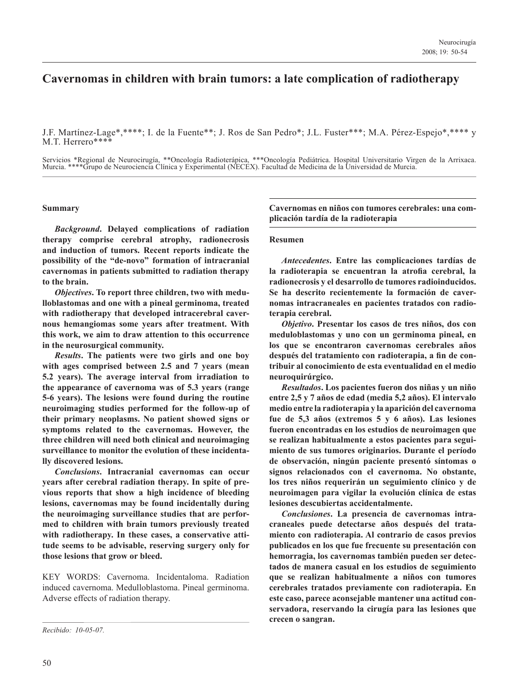# **Cavernomas in children with brain tumors: a late complication of radiotherapy**

J.F. Martínez-Lage\*,\*\*\*\*; I. de la Fuente\*\*; J. Ros de San Pedro\*; J.L. Fuster\*\*\*; M.A. Pérez-Espejo\*,\*\*\*\* y M.T. Herrero\*\*\*\*

Servicios \*Regional de Neurocirugía, \*\*Oncología Radioterápica, \*\*\*Oncología Pediátrica. Hospital Universitario Virgen de la Arrixaca. Murcia. \*\*\*\*Grupo de Neurociencia Clínica y Experimental (NECEX). Facultad de Medicina de la Universidad de Murcia.

# **Summary**

*Background***. Delayed complications of radiation therapy comprise cerebral atrophy, radionecrosis and induction of tumors. Recent reports indicate the possibility of the "de-novo" formation of intracranial cavernomas in patients submitted to radiation therapy to the brain.** 

*Objectives***. To report three children, two with medulloblastomas and one with a pineal germinoma, treated with radiotherapy that developed intracerebral cavernous hemangiomas some years after treatment. With this work, we aim to draw attention to this occurrence in the neurosurgical community.**

*Results***. The patients were two girls and one boy with ages comprised between 2.5 and 7 years (mean 5.2 years). The average interval from irradiation to the appearance of cavernoma was of 5.3 years (range 5-6 years). The lesions were found during the routine neuroimaging studies performed for the follow-up of their primary neoplasms. No patient showed signs or symptoms related to the cavernomas. However, the three children will need both clinical and neuroimaging surveillance to monitor the evolution of these incidentally discovered lesions.**

*Conclusions***. Intracranial cavernomas can occur years after cerebral radiation therapy. In spite of previous reports that show a high incidence of bleeding lesions, cavernomas may be found incidentally during the neuroimaging surveillance studies that are performed to children with brain tumors previously treated with radiotherapy. In these cases, a conservative attitude seems to be advisable, reserving surgery only for those lesions that grow or bleed.**

KEY WORDS: Cavernoma. Incidentaloma. Radiation induced cavernoma. Medulloblastoma. Pineal germinoma. Adverse effects of radiation therapy.

**Cavernomas en niños con tumores cerebrales: una complicación tardía de la radioterapia**

#### **Resumen**

*Antecedentes***. Entre las complicaciones tardías de la radioterapia se encuentran la atrofia cerebral, la radionecrosis y el desarrollo de tumores radioinducidos. Se ha descrito recientemente la formación de cavernomas intracraneales en pacientes tratados con radioterapia cerebral.** 

*Objetivo***. Presentar los casos de tres niños, dos con meduloblastomas y uno con un germinoma pineal, en los que se encontraron cavernomas cerebrales años después del tratamiento con radioterapia, a fin de contribuir al conocimiento de esta eventualidad en el medio neuroquirúrgico.** 

*Resultados***. Los pacientes fueron dos niñas y un niño entre 2,5 y 7 años de edad (media 5,2 años). El intervalo medio entre la radioterapia y la aparición del cavernoma fue de 5,3 años (extremos 5 y 6 años). Las lesiones fueron encontradas en los estudios de neuroimagen que se realizan habitualmente a estos pacientes para seguimiento de sus tumores originarios. Durante el período de observación, ningún paciente presentó síntomas o signos relacionados con el cavernoma. No obstante, los tres niños requerirán un seguimiento clínico y de neuroimagen para vigilar la evolución clínica de estas lesiones descubiertas accidentalmente.**

*Conclusiones***. La presencia de cavernomas intracraneales puede detectarse años después del tratamiento con radioterapia. Al contrario de casos previos publicados en los que fue frecuente su presentación con hemorragia, los cavernomas también pueden ser detectados de manera casual en los estudios de seguimiento que se realizan habitualmente a niños con tumores cerebrales tratados previamente con radioterapia. En este caso, parece aconsejable mantener una actitud conservadora, reservando la cirugía para las lesiones que crecen o sangran.**

*Recibido: 10-05-07.*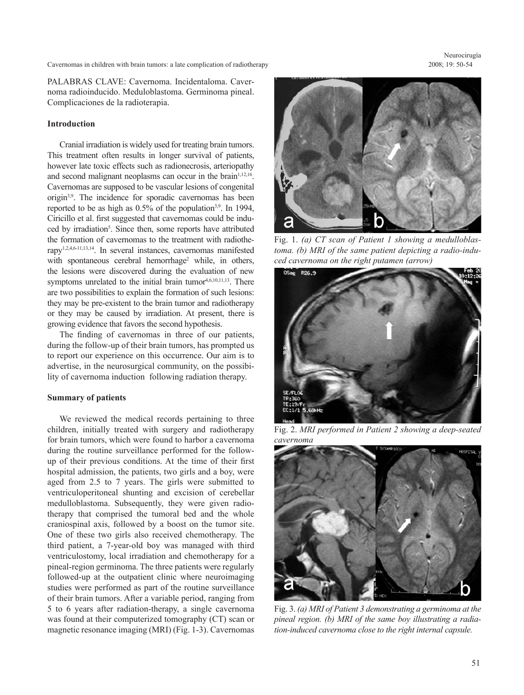Cavernomas in children with brain tumors: a late complication of radiotherapy

PALABRAS CLAVE: Cavernoma. Incidentaloma. Cavernoma radioinducido. Meduloblastoma. Germinoma pineal. Complicaciones de la radioterapia.

# **Introduction**

 Cranial irradiation is widely used for treating brain tumors. This treatment often results in longer survival of patients, however late toxic effects such as radionecrosis, arteriopathy and second malignant neoplasms can occur in the brain $1,12,16$ . Cavernomas are supposed to be vascular lesions of congenital origin3,9. The incidence for sporadic cavernomas has been reported to be as high as  $0.5\%$  of the population<sup>3,9</sup>. In 1994, Ciricillo et al. first suggested that cavernomas could be induced by irradiation<sup>5</sup>. Since then, some reports have attributed the formation of cavernomas to the treatment with radiotherapy1,2,4,6-11,13,14. In several instances, cavernomas manifested with spontaneous cerebral hemorrhage<sup>2</sup> while, in others, the lesions were discovered during the evaluation of new symptoms unrelated to the initial brain tumor $4,6,10,11,13$ . There are two possibilities to explain the formation of such lesions: they may be pre-existent to the brain tumor and radiotherapy or they may be caused by irradiation. At present, there is growing evidence that favors the second hypothesis.

 The finding of cavernomas in three of our patients, during the follow-up of their brain tumors, has prompted us to report our experience on this occurrence. Our aim is to advertise, in the neurosurgical community, on the possibility of cavernoma induction following radiation therapy.

## **Summary of patients**

 We reviewed the medical records pertaining to three children, initially treated with surgery and radiotherapy for brain tumors, which were found to harbor a cavernoma during the routine surveillance performed for the followup of their previous conditions. At the time of their first hospital admission, the patients, two girls and a boy, were aged from 2.5 to 7 years. The girls were submitted to ventriculoperitoneal shunting and excision of cerebellar medulloblastoma. Subsequently, they were given radiotherapy that comprised the tumoral bed and the whole craniospinal axis, followed by a boost on the tumor site. One of these two girls also received chemotherapy. The third patient, a 7-year-old boy was managed with third ventriculostomy, local irradiation and chemotherapy for a pineal-region germinoma. The three patients were regularly followed-up at the outpatient clinic where neuroimaging studies were performed as part of the routine surveillance of their brain tumors. After a variable period, ranging from 5 to 6 years after radiation-therapy, a single cavernoma was found at their computerized tomography (CT) scan or magnetic resonance imaging (MRI) (Fig. 1-3). Cavernomas



Fig. 1. *(a) CT scan of Patient 1 showing a medulloblastoma. (b) MRI of the same patient depicting a radio-induced cavernoma on the right putamen (arrow)*



Fig. 2. *MRI performed in Patient 2 showing a deep-seated cavernoma*



Fig. 3. *(a) MRI of Patient 3 demonstrating a germinoma at the pineal region. (b) MRI of the same boy illustrating a radiation-induced cavernoma close to the right internal capsule.*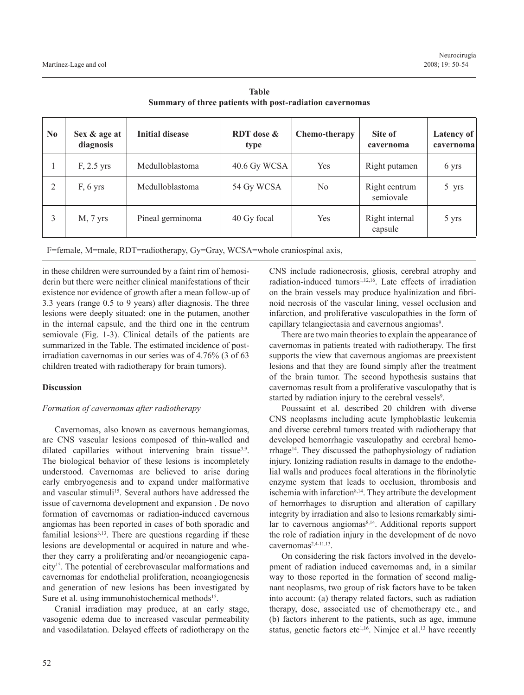| N <sub>0</sub> | Sex & age at<br>diagnosis | <b>Initial disease</b> | <b>RDT</b> dose &<br>type | Chemo-therapy  | Site of<br>cavernoma       | Latency of<br>cavernoma |
|----------------|---------------------------|------------------------|---------------------------|----------------|----------------------------|-------------------------|
|                | $F, 2.5$ yrs              | Medulloblastoma        | 40.6 Gy WCSA              | Yes            | Right putamen              | 6 yrs                   |
| 2              | $F, 6$ yrs                | Medulloblastoma        | 54 Gy WCSA                | N <sub>0</sub> | Right centrum<br>semiovale | 5 yrs                   |
|                | $M, 7$ yrs                | Pineal germinoma       | 40 Gy focal               | Yes            | Right internal<br>capsule  | 5 yrs                   |

**Table Summary of three patients with post-radiation cavernomas**

F=female, M=male, RDT=radiotherapy, Gy=Gray, WCSA=whole craniospinal axis,

in these children were surrounded by a faint rim of hemosiderin but there were neither clinical manifestations of their existence nor evidence of growth after a mean follow-up of 3.3 years (range 0.5 to 9 years) after diagnosis. The three lesions were deeply situated: one in the putamen, another in the internal capsule, and the third one in the centrum semiovale (Fig. 1-3). Clinical details of the patients are summarized in the Table. The estimated incidence of postirradiation cavernomas in our series was of 4.76% (3 of 63 children treated with radiotherapy for brain tumors).

# **Discussion**

# *Formation of cavernomas after radiotherapy*

 Cavernomas, also known as cavernous hemangiomas, are CNS vascular lesions composed of thin-walled and dilated capillaries without intervening brain tissue<sup>3,9</sup>. The biological behavior of these lesions is incompletely understood. Cavernomas are believed to arise during early embryogenesis and to expand under malformative and vascular stimuli<sup>15</sup>. Several authors have addressed the issue of cavernoma development and expansion . De novo formation of cavernomas or radiation-induced cavernous angiomas has been reported in cases of both sporadic and familial lesions $3,13$ . There are questions regarding if these lesions are developmental or acquired in nature and whether they carry a proliferating and/or neoangiogenic capacity15. The potential of cerebrovascular malformations and cavernomas for endothelial proliferation, neoangiogenesis and generation of new lesions has been investigated by Sure et al. using immunohistochemical methods<sup>15</sup>.

 Cranial irradiation may produce, at an early stage, vasogenic edema due to increased vascular permeability and vasodilatation. Delayed effects of radiotherapy on the CNS include radionecrosis, gliosis, cerebral atrophy and radiation-induced tumors<sup>1,12,16</sup>. Late effects of irradiation on the brain vessels may produce hyalinization and fibrinoid necrosis of the vascular lining, vessel occlusion and infarction, and proliferative vasculopathies in the form of capillary telangiectasia and cavernous angiomas<sup>9</sup>.

 There are two main theories to explain the appearance of cavernomas in patients treated with radiotherapy. The first supports the view that cavernous angiomas are preexistent lesions and that they are found simply after the treatment of the brain tumor. The second hypothesis sustains that cavernomas result from a proliferative vasculopathy that is started by radiation injury to the cerebral vessels<sup>9</sup>.

 Poussaint et al. described 20 children with diverse CNS neoplasms including acute lymphoblastic leukemia and diverse cerebral tumors treated with radiotherapy that developed hemorrhagic vasculopathy and cerebral hemorrhage14. They discussed the pathophysiology of radiation injury. Ionizing radiation results in damage to the endothelial walls and produces focal alterations in the fibrinolytic enzyme system that leads to occlusion, thrombosis and ischemia with infarction<sup>8,14</sup>. They attribute the development of hemorrhages to disruption and alteration of capillary integrity by irradiation and also to lesions remarkably similar to cavernous angiomas<sup>8,14</sup>. Additional reports support the role of radiation injury in the development of de novo cavernomas<sup>2,4-11,13</sup>.

 On considering the risk factors involved in the development of radiation induced cavernomas and, in a similar way to those reported in the formation of second malignant neoplasms, two group of risk factors have to be taken into account: (a) therapy related factors, such as radiation therapy, dose, associated use of chemotherapy etc., and (b) factors inherent to the patients, such as age, immune status, genetic factors etc<sup>1,16</sup>. Nimjee et al.<sup>13</sup> have recently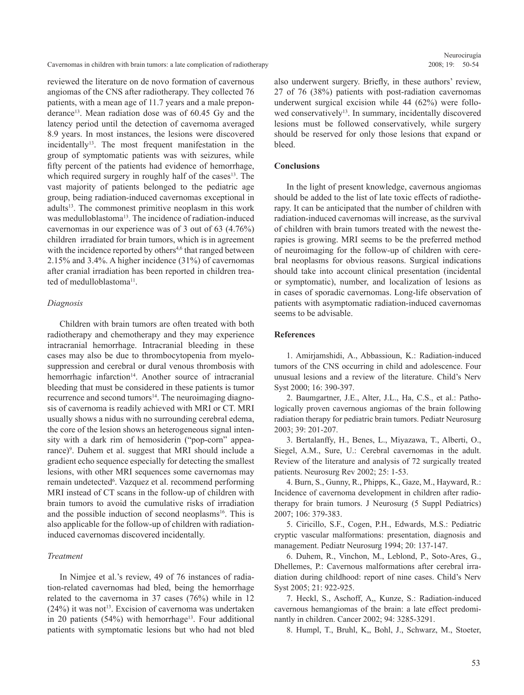Cavernomas in children with brain tumors: a late complication of radiotherapy

reviewed the literature on de novo formation of cavernous angiomas of the CNS after radiotherapy. They collected 76 patients, with a mean age of 11.7 years and a male preponderance<sup>13</sup>. Mean radiation dose was of  $60.45$  Gy and the latency period until the detection of cavernoma averaged 8.9 years. In most instances, the lesions were discovered  $incidentally<sup>13</sup>$ . The most frequent manifestation in the group of symptomatic patients was with seizures, while fifty percent of the patients had evidence of hemorrhage, which required surgery in roughly half of the cases<sup>13</sup>. The vast majority of patients belonged to the pediatric age group, being radiation-induced cavernomas exceptional in adults<sup>13</sup>. The commonest primitive neoplasm in this work was medulloblastoma<sup>13</sup>. The incidence of radiation-induced cavernomas in our experience was of 3 out of 63 (4.76%) children irradiated for brain tumors, which is in agreement with the incidence reported by others<sup>4,6</sup> that ranged between 2.15% and 3.4%. A higher incidence (31%) of cavernomas after cranial irradiation has been reported in children treated of medulloblastoma<sup>11</sup>.

### *Diagnosis*

 Children with brain tumors are often treated with both radiotherapy and chemotherapy and they may experience intracranial hemorrhage. Intracranial bleeding in these cases may also be due to thrombocytopenia from myelosuppression and cerebral or dural venous thrombosis with hemorrhagic infarction<sup>14</sup>. Another source of intracranial bleeding that must be considered in these patients is tumor recurrence and second tumors<sup>14</sup>. The neuroimaging diagnosis of cavernoma is readily achieved with MRI or CT. MRI usually shows a nidus with no surrounding cerebral edema, the core of the lesion shows an heterogeneous signal intensity with a dark rim of hemosiderin ("pop-corn" appearance)<sup>9</sup>. Duhem et al. suggest that MRI should include a gradient echo sequence especially for detecting the smallest lesions, with other MRI sequences some cavernomas may remain undetected<sup>6</sup>. Vazquez et al. recommend performing MRI instead of CT scans in the follow-up of children with brain tumors to avoid the cumulative risks of irradiation and the possible induction of second neoplasms<sup>16</sup>. This is also applicable for the follow-up of children with radiationinduced cavernomas discovered incidentally.

# *Treatment*

 In Nimjee et al.'s review, 49 of 76 instances of radiation-related cavernomas had bled, being the hemorrhage related to the cavernoma in 37 cases (76%) while in 12  $(24%)$  it was not<sup>13</sup>. Excision of cavernoma was undertaken in 20 patients  $(54%)$  with hemorrhage<sup>13</sup>. Four additional patients with symptomatic lesions but who had not bled also underwent surgery. Briefly, in these authors' review, 27 of 76 (38%) patients with post-radiation cavernomas underwent surgical excision while 44 (62%) were followed conservatively<sup>13</sup>. In summary, incidentally discovered lesions must be followed conservatively, while surgery should be reserved for only those lesions that expand or bleed.

### **Conclusions**

 In the light of present knowledge, cavernous angiomas should be added to the list of late toxic effects of radiotherapy. It can be anticipated that the number of children with radiation-induced cavernomas will increase, as the survival of children with brain tumors treated with the newest therapies is growing. MRI seems to be the preferred method of neuroimaging for the follow-up of children with cerebral neoplasms for obvious reasons. Surgical indications should take into account clinical presentation (incidental or symptomatic), number, and localization of lesions as in cases of sporadic cavernomas. Long-life observation of patients with asymptomatic radiation-induced cavernomas seems to be advisable.

# **References**

 1. Amirjamshidi, A., Abbassioun, K.: Radiation-induced tumors of the CNS occurring in child and adolescence. Four unusual lesions and a review of the literature. Child's Nerv Syst 2000; 16: 390-397.

 2. Baumgartner, J.E., Alter, J.L., Ha, C.S., et al.: Pathologically proven cavernous angiomas of the brain following radiation therapy for pediatric brain tumors. Pediatr Neurosurg 2003; 39: 201-207.

 3. Bertalanffy, H., Benes, L., Miyazawa, T., Alberti, O., Siegel, A.M., Sure, U.: Cerebral cavernomas in the adult. Review of the literature and analysis of 72 surgically treated patients. Neurosurg Rev 2002; 25: 1-53.

 4. Burn, S., Gunny, R., Phipps, K., Gaze, M., Hayward, R.: Incidence of cavernoma development in children after radiotherapy for brain tumors. J Neurosurg (5 Suppl Pediatrics) 2007; 106: 379-383.

 5. Ciricillo, S.F., Cogen, P.H., Edwards, M.S.: Pediatric cryptic vascular malformations: presentation, diagnosis and management. Pediatr Neurosurg 1994; 20: 137-147.

 6. Duhem, R., Vinchon, M., Leblond, P., Soto-Ares, G., Dhellemes, P.: Cavernous malformations after cerebral irradiation during childhood: report of nine cases. Child's Nerv Syst 2005; 21: 922-925.

 7. Heckl, S., Aschoff, A,, Kunze, S.: Radiation-induced cavernous hemangiomas of the brain: a late effect predominantly in children. Cancer 2002; 94: 3285-3291.

8. Humpl, T., Bruhl, K,, Bohl, J., Schwarz, M., Stoeter,